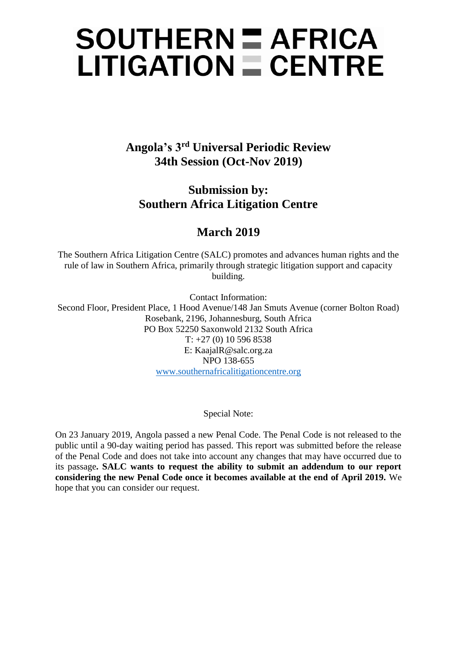# $SOLUTION = AFRICA$  $LITIGATION \equiv CENTRE$

**Angola's 3rd Universal Periodic Review 34th Session (Oct-Nov 2019)**

**Submission by: Southern Africa Litigation Centre**

# **March 2019**

The Southern Africa Litigation Centre (SALC) promotes and advances human rights and the rule of law in Southern Africa, primarily through strategic litigation support and capacity building.

Contact Information: Second Floor, President Place, 1 Hood Avenue/148 Jan Smuts Avenue (corner Bolton Road) Rosebank, 2196, Johannesburg, South Africa PO Box 52250 Saxonwold 2132 South Africa T: +27 (0) 10 596 8538 E: KaajalR@salc.org.za NPO 138-655 [www.southernafricalitigationcentre.org](http://www.southernafricalitigationcentre.org/)

# Special Note:

On 23 January 2019, Angola passed a new Penal Code. The Penal Code is not released to the public until a 90-day waiting period has passed. This report was submitted before the release of the Penal Code and does not take into account any changes that may have occurred due to its passage**. SALC wants to request the ability to submit an addendum to our report considering the new Penal Code once it becomes available at the end of April 2019.** We hope that you can consider our request.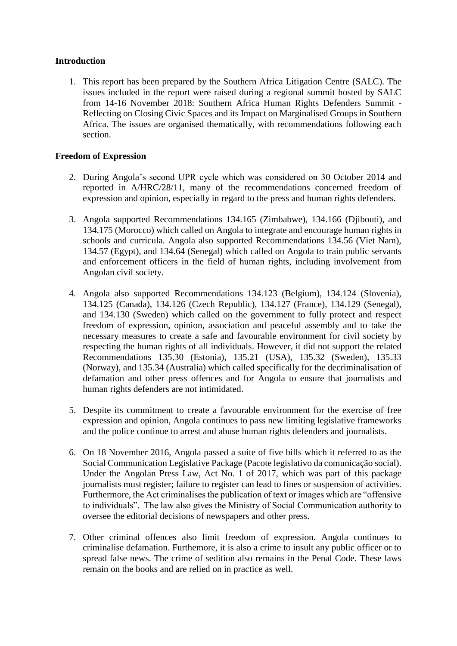# **Introduction**

1. This report has been prepared by the Southern Africa Litigation Centre (SALC). The issues included in the report were raised during a regional summit hosted by SALC from 14-16 November 2018: Southern Africa Human Rights Defenders Summit - Reflecting on Closing Civic Spaces and its Impact on Marginalised Groups in Southern Africa. The issues are organised thematically, with recommendations following each section.

# **Freedom of Expression**

- 2. During Angola's second UPR cycle which was considered on 30 October 2014 and reported in A/HRC/28/11, many of the recommendations concerned freedom of expression and opinion, especially in regard to the press and human rights defenders.
- 3. Angola supported Recommendations 134.165 (Zimbabwe), 134.166 (Djibouti), and 134.175 (Morocco) which called on Angola to integrate and encourage human rights in schools and curricula. Angola also supported Recommendations 134.56 (Viet Nam), 134.57 (Egypt), and 134.64 (Senegal) which called on Angola to train public servants and enforcement officers in the field of human rights, including involvement from Angolan civil society.
- 4. Angola also supported Recommendations 134.123 (Belgium), 134.124 (Slovenia), 134.125 (Canada), 134.126 (Czech Republic), 134.127 (France), 134.129 (Senegal), and 134.130 (Sweden) which called on the government to fully protect and respect freedom of expression, opinion, association and peaceful assembly and to take the necessary measures to create a safe and favourable environment for civil society by respecting the human rights of all individuals. However, it did not support the related Recommendations 135.30 (Estonia), 135.21 (USA), 135.32 (Sweden), 135.33 (Norway), and 135.34 (Australia) which called specifically for the decriminalisation of defamation and other press offences and for Angola to ensure that journalists and human rights defenders are not intimidated.
- 5. Despite its commitment to create a favourable environment for the exercise of free expression and opinion, Angola continues to pass new limiting legislative frameworks and the police continue to arrest and abuse human rights defenders and journalists.
- 6. On 18 November 2016, Angola passed a suite of five bills which it referred to as the Social Communication Legislative Package (Pacote legislativo da comunicação social). Under the Angolan Press Law, Act No. 1 of 2017, which was part of this package journalists must register; failure to register can lead to fines or suspension of activities. Furthermore, the Act criminalises the publication of text or images which are "offensive to individuals". The law also gives the Ministry of Social Communication authority to oversee the editorial decisions of newspapers and other press.
- 7. Other criminal offences also limit freedom of expression. Angola continues to criminalise defamation. Furthemore, it is also a crime to insult any public officer or to spread false news. The crime of sedition also remains in the Penal Code. These laws remain on the books and are relied on in practice as well.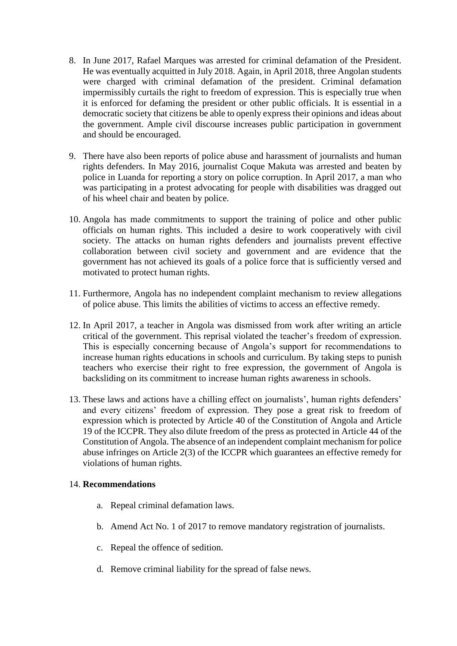- 8. In June 2017, Rafael Marques was arrested for criminal defamation of the President. He was eventually acquitted in July 2018. Again, in April 2018, three Angolan students were charged with criminal defamation of the president. Criminal defamation impermissibly curtails the right to freedom of expression. This is especially true when it is enforced for defaming the president or other public officials. It is essential in a democratic society that citizens be able to openly express their opinions and ideas about the government. Ample civil discourse increases public participation in government and should be encouraged.
- 9. There have also been reports of police abuse and harassment of journalists and human rights defenders. In May 2016, journalist Coque Makuta was arrested and beaten by police in Luanda for reporting a story on police corruption. In April 2017, a man who was participating in a protest advocating for people with disabilities was dragged out of his wheel chair and beaten by police.
- 10. Angola has made commitments to support the training of police and other public officials on human rights. This included a desire to work cooperatively with civil society. The attacks on human rights defenders and journalists prevent effective collaboration between civil society and government and are evidence that the government has not achieved its goals of a police force that is sufficiently versed and motivated to protect human rights.
- 11. Furthermore, Angola has no independent complaint mechanism to review allegations of police abuse. This limits the abilities of victims to access an effective remedy.
- 12. In April 2017, a teacher in Angola was dismissed from work after writing an article critical of the government. This reprisal violated the teacher's freedom of expression. This is especially concerning because of Angola's support for recommendations to increase human rights educations in schools and curriculum. By taking steps to punish teachers who exercise their right to free expression, the government of Angola is backsliding on its commitment to increase human rights awareness in schools.
- 13. These laws and actions have a chilling effect on journalists', human rights defenders' and every citizens' freedom of expression. They pose a great risk to freedom of expression which is protected by Article 40 of the Constitution of Angola and Article 19 of the ICCPR. They also dilute freedom of the press as protected in Article 44 of the Constitution of Angola. The absence of an independent complaint mechanism for police abuse infringes on Article 2(3) of the ICCPR which guarantees an effective remedy for violations of human rights.

#### 14. **Recommendations**

- a. Repeal criminal defamation laws.
- b. Amend Act No. 1 of 2017 to remove mandatory registration of journalists.
- c. Repeal the offence of sedition.
- d. Remove criminal liability for the spread of false news.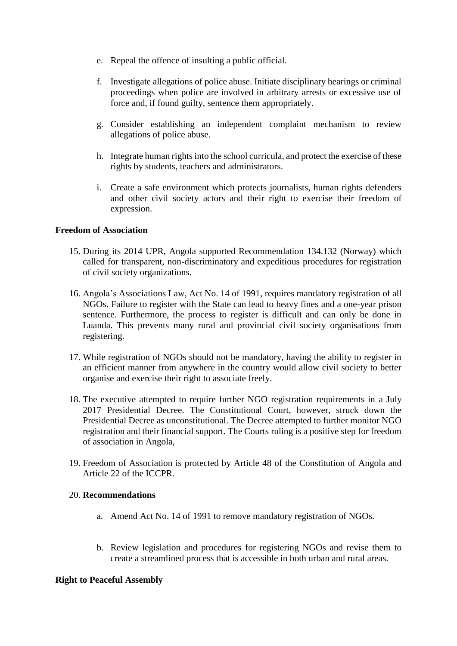- e. Repeal the offence of insulting a public official.
- f. Investigate allegations of police abuse. Initiate disciplinary hearings or criminal proceedings when police are involved in arbitrary arrests or excessive use of force and, if found guilty, sentence them appropriately.
- g. Consider establishing an independent complaint mechanism to review allegations of police abuse.
- h. Integrate human rights into the school curricula, and protect the exercise of these rights by students, teachers and administrators.
- i. Create a safe environment which protects journalists, human rights defenders and other civil society actors and their right to exercise their freedom of expression.

## **Freedom of Association**

- 15. During its 2014 UPR, Angola supported Recommendation 134.132 (Norway) which called for transparent, non-discriminatory and expeditious procedures for registration of civil society organizations.
- 16. Angola's Associations Law, Act No. 14 of 1991, requires mandatory registration of all NGOs. Failure to register with the State can lead to heavy fines and a one-year prison sentence. Furthermore, the process to register is difficult and can only be done in Luanda. This prevents many rural and provincial civil society organisations from registering.
- 17. While registration of NGOs should not be mandatory, having the ability to register in an efficient manner from anywhere in the country would allow civil society to better organise and exercise their right to associate freely.
- 18. The executive attempted to require further NGO registration requirements in a July 2017 Presidential Decree. The Constitutional Court, however, struck down the Presidential Decree as unconstitutional. The Decree attempted to further monitor NGO registration and their financial support. The Courts ruling is a positive step for freedom of association in Angola,
- 19. Freedom of Association is protected by Article 48 of the Constitution of Angola and Article 22 of the ICCPR.

#### 20. **Recommendations**

- a. Amend Act No. 14 of 1991 to remove mandatory registration of NGOs.
- b. Review legislation and procedures for registering NGOs and revise them to create a streamlined process that is accessible in both urban and rural areas.

#### **Right to Peaceful Assembly**